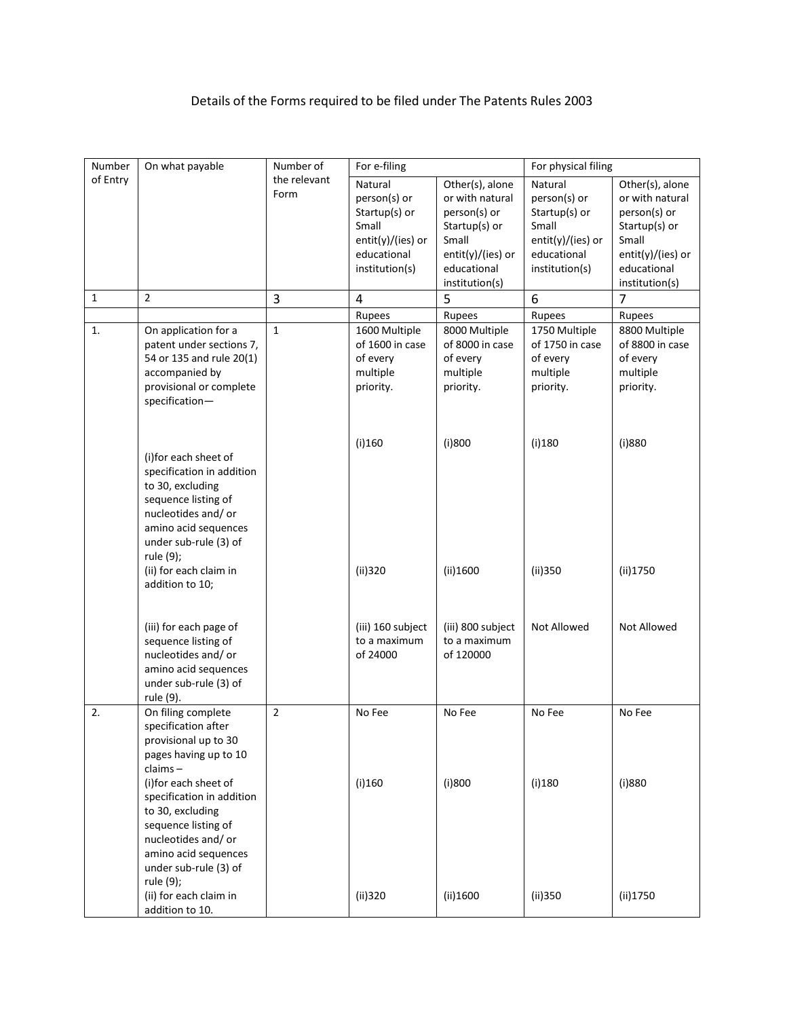## Details of the Forms required to be filed under The Patents Rules 2003

| Number       | On what payable           | Number of    | For e-filing      |                   | For physical filing |                     |
|--------------|---------------------------|--------------|-------------------|-------------------|---------------------|---------------------|
| of Entry     |                           | the relevant | Natural           | Other(s), alone   | Natural             | Other(s), alone     |
|              |                           | Form         | person(s) or      | or with natural   | person(s) or        | or with natural     |
|              |                           |              | Startup(s) or     | person(s) or      | Startup(s) or       | person(s) or        |
|              |                           |              | Small             | Startup(s) or     | Small               | Startup(s) or       |
|              |                           |              | entit(y)/(ies) or | Small             | entit(y)/(ies) or   | Small               |
|              |                           |              | educational       | entit(y)/(ies) or | educational         | $entit(y)/(ies)$ or |
|              |                           |              | institution(s)    | educational       | institution(s)      | educational         |
|              |                           |              |                   | institution(s)    |                     | institution(s)      |
| $\mathbf{1}$ | $\overline{2}$            | 3            | 4                 | 5                 | 6                   | $\overline{7}$      |
|              |                           |              | Rupees            | Rupees            | Rupees              | Rupees              |
| 1.           | On application for a      | $\mathbf{1}$ | 1600 Multiple     | 8000 Multiple     | 1750 Multiple       | 8800 Multiple       |
|              | patent under sections 7,  |              | of 1600 in case   | of 8000 in case   | of 1750 in case     | of 8800 in case     |
|              | 54 or 135 and rule 20(1)  |              | of every          | of every          | of every            | of every            |
|              | accompanied by            |              | multiple          | multiple          | multiple            | multiple            |
|              | provisional or complete   |              | priority.         | priority.         | priority.           | priority.           |
|              | specification-            |              |                   |                   |                     |                     |
|              |                           |              |                   |                   |                     |                     |
|              |                           |              |                   |                   |                     |                     |
|              |                           |              | $(i)$ 160         | (i)800            | $(i)$ 180           | (i)880              |
|              | (i)for each sheet of      |              |                   |                   |                     |                     |
|              | specification in addition |              |                   |                   |                     |                     |
|              | to 30, excluding          |              |                   |                   |                     |                     |
|              | sequence listing of       |              |                   |                   |                     |                     |
|              | nucleotides and/or        |              |                   |                   |                     |                     |
|              | amino acid sequences      |              |                   |                   |                     |                     |
|              | under sub-rule (3) of     |              |                   |                   |                     |                     |
|              | rule (9);                 |              |                   |                   |                     |                     |
|              | (ii) for each claim in    |              | (ii)320           | (ii)1600          | (ii)350             | (ii)1750            |
|              | addition to 10;           |              |                   |                   |                     |                     |
|              |                           |              |                   |                   |                     |                     |
|              |                           |              |                   |                   |                     |                     |
|              | (iii) for each page of    |              | (iii) 160 subject | (iii) 800 subject | Not Allowed         | Not Allowed         |
|              | sequence listing of       |              | to a maximum      | to a maximum      |                     |                     |
|              | nucleotides and/or        |              | of 24000          | of 120000         |                     |                     |
|              | amino acid sequences      |              |                   |                   |                     |                     |
|              | under sub-rule (3) of     |              |                   |                   |                     |                     |
|              | rule (9).                 |              |                   |                   |                     |                     |
| 2.           | On filing complete        | 2            | No Fee            | No Fee            | No Fee              | No Fee              |
|              | specification after       |              |                   |                   |                     |                     |
|              | provisional up to 30      |              |                   |                   |                     |                     |
|              | pages having up to 10     |              |                   |                   |                     |                     |
|              | $clains -$                |              |                   |                   |                     |                     |
|              | (i)for each sheet of      |              | $(i)$ 160         | (i)800            | (i)180              | (i)880              |
|              | specification in addition |              |                   |                   |                     |                     |
|              | to 30, excluding          |              |                   |                   |                     |                     |
|              | sequence listing of       |              |                   |                   |                     |                     |
|              | nucleotides and/or        |              |                   |                   |                     |                     |
|              | amino acid sequences      |              |                   |                   |                     |                     |
|              | under sub-rule (3) of     |              |                   |                   |                     |                     |
|              | rule (9);                 |              |                   |                   |                     |                     |
|              | (ii) for each claim in    |              | (ii)320           | (ii)1600          | (ii)350             | (ii)1750            |
|              | addition to 10.           |              |                   |                   |                     |                     |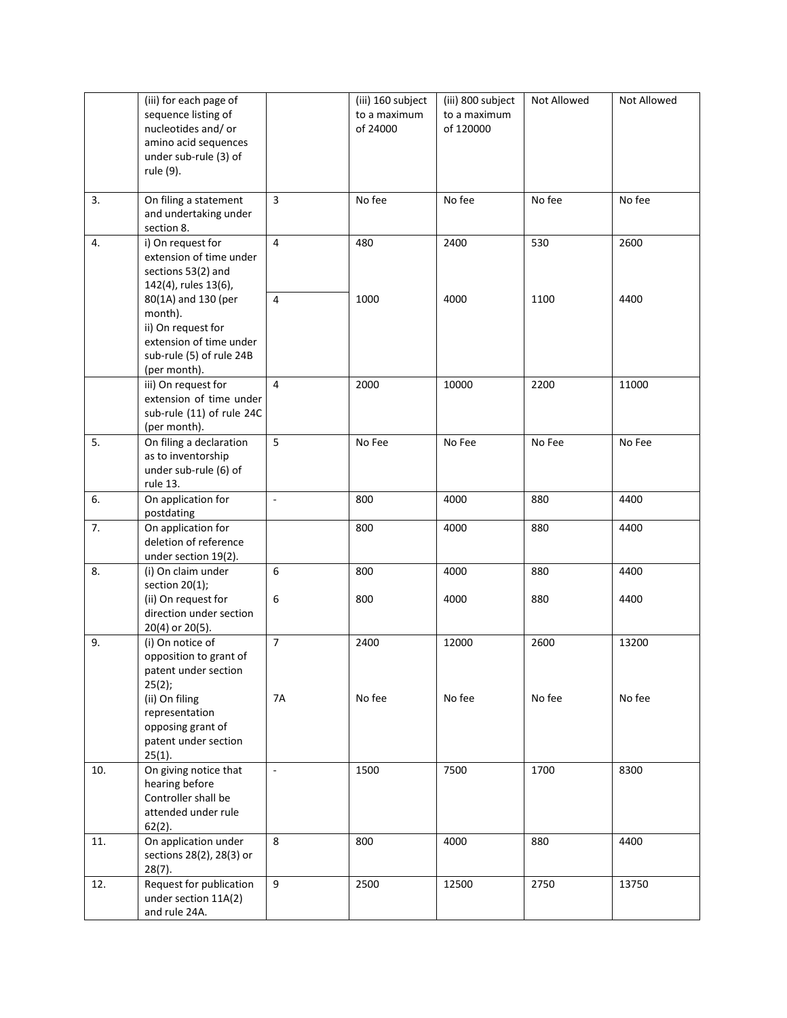|     | (iii) for each page of<br>sequence listing of<br>nucleotides and/or<br>amino acid sequences<br>under sub-rule (3) of<br>rule (9). |                          | (iii) 160 subject<br>to a maximum<br>of 24000 | (iii) 800 subject<br>to a maximum<br>of 120000 | Not Allowed | Not Allowed |
|-----|-----------------------------------------------------------------------------------------------------------------------------------|--------------------------|-----------------------------------------------|------------------------------------------------|-------------|-------------|
| 3.  | On filing a statement<br>and undertaking under<br>section 8.                                                                      | $\overline{3}$           | No fee                                        | No fee                                         | No fee      | No fee      |
| 4.  | i) On request for<br>extension of time under<br>sections 53(2) and<br>142(4), rules 13(6),                                        | $\overline{4}$           | 480                                           | 2400                                           | 530         | 2600        |
|     | 80(1A) and 130 (per<br>month).<br>ii) On request for<br>extension of time under<br>sub-rule (5) of rule 24B<br>(per month).       | $\overline{4}$           | 1000                                          | 4000                                           | 1100        | 4400        |
|     | iii) On request for<br>extension of time under<br>sub-rule (11) of rule 24C<br>(per month).                                       | $\overline{4}$           | 2000                                          | 10000                                          | 2200        | 11000       |
| 5.  | On filing a declaration<br>as to inventorship<br>under sub-rule (6) of<br>rule 13.                                                | 5                        | No Fee                                        | No Fee                                         | No Fee      | No Fee      |
| 6.  | On application for<br>postdating                                                                                                  | ä,                       | 800                                           | 4000                                           | 880         | 4400        |
| 7.  | On application for<br>deletion of reference<br>under section 19(2).                                                               |                          | 800                                           | 4000                                           | 880         | 4400        |
| 8.  | (i) On claim under<br>section $20(1)$ ;                                                                                           | 6                        | 800                                           | 4000                                           | 880         | 4400        |
|     | (ii) On request for<br>direction under section<br>20(4) or 20(5).                                                                 | 6                        | 800                                           | 4000                                           | 880         | 4400        |
| 9.  | (i) On notice of<br>opposition to grant of<br>patent under section<br>25(2);                                                      | $\overline{7}$           | 2400                                          | 12000                                          | 2600        | 13200       |
|     | (ii) On filing<br>representation<br>opposing grant of<br>patent under section<br>$25(1)$ .                                        | 7A                       | No fee                                        | No fee                                         | No fee      | No fee      |
| 10. | On giving notice that<br>hearing before<br>Controller shall be<br>attended under rule<br>$62(2)$ .                                | $\overline{\phantom{a}}$ | 1500                                          | 7500                                           | 1700        | 8300        |
| 11. | On application under<br>sections 28(2), 28(3) or<br>$28(7)$ .                                                                     | 8                        | 800                                           | 4000                                           | 880         | 4400        |
| 12. | Request for publication<br>under section 11A(2)<br>and rule 24A.                                                                  | 9                        | 2500                                          | 12500                                          | 2750        | 13750       |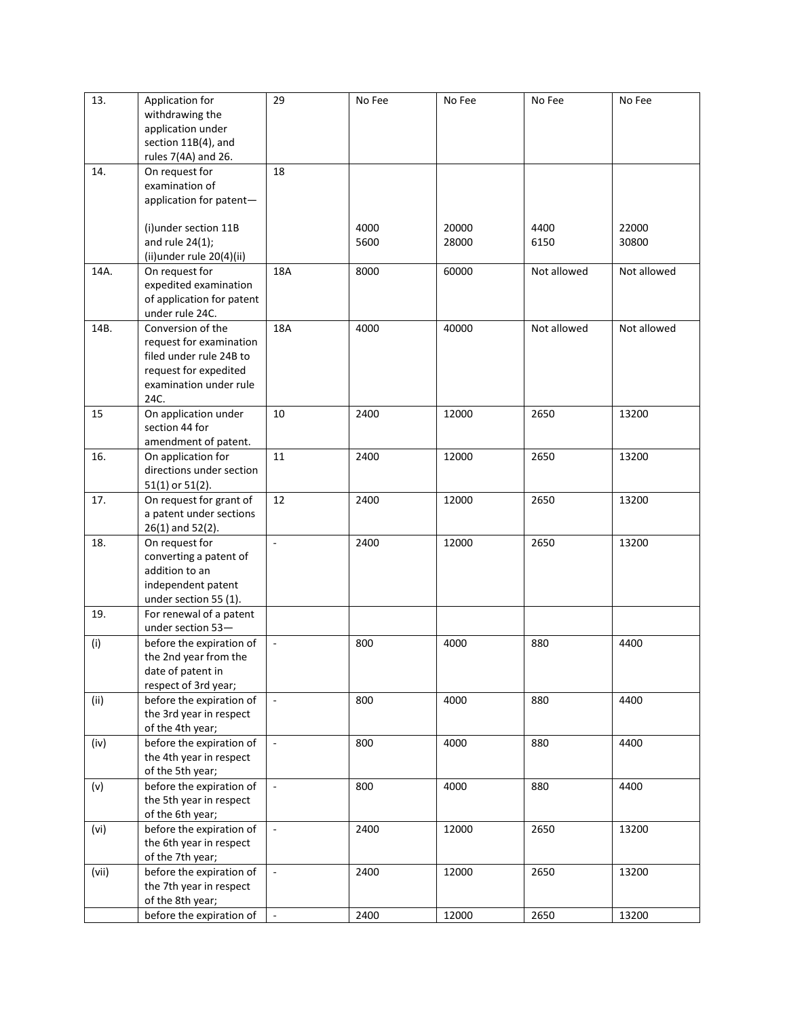| 13.   | Application for                              | 29                 | No Fee | No Fee | No Fee      | No Fee      |
|-------|----------------------------------------------|--------------------|--------|--------|-------------|-------------|
|       | withdrawing the                              |                    |        |        |             |             |
|       | application under                            |                    |        |        |             |             |
|       | section 11B(4), and                          |                    |        |        |             |             |
|       | rules 7(4A) and 26.                          |                    |        |        |             |             |
| 14.   | On request for                               | 18                 |        |        |             |             |
|       | examination of                               |                    |        |        |             |             |
|       | application for patent-                      |                    |        |        |             |             |
|       |                                              |                    |        |        |             |             |
|       | (i) under section 11B                        |                    | 4000   | 20000  | 4400        | 22000       |
|       | and rule $24(1)$ ;                           |                    | 5600   | 28000  | 6150        | 30800       |
|       | (ii)under rule 20(4)(ii)                     |                    |        |        |             |             |
| 14A.  | On request for                               | 18A                | 8000   | 60000  | Not allowed | Not allowed |
|       | expedited examination                        |                    |        |        |             |             |
|       | of application for patent                    |                    |        |        |             |             |
| 14B.  | under rule 24C.<br>Conversion of the         | 18A                | 4000   | 40000  | Not allowed | Not allowed |
|       | request for examination                      |                    |        |        |             |             |
|       | filed under rule 24B to                      |                    |        |        |             |             |
|       | request for expedited                        |                    |        |        |             |             |
|       | examination under rule                       |                    |        |        |             |             |
|       | 24C.                                         |                    |        |        |             |             |
| 15    | On application under                         | 10                 | 2400   | 12000  | 2650        | 13200       |
|       | section 44 for                               |                    |        |        |             |             |
|       | amendment of patent.                         |                    |        |        |             |             |
| 16.   | On application for                           | 11                 | 2400   | 12000  | 2650        | 13200       |
|       | directions under section                     |                    |        |        |             |             |
|       | $51(1)$ or $51(2)$ .                         |                    |        |        |             |             |
| 17.   | On request for grant of                      | 12                 | 2400   | 12000  | 2650        | 13200       |
|       | a patent under sections                      |                    |        |        |             |             |
|       | $26(1)$ and $52(2)$ .                        |                    |        |        |             |             |
| 18.   | On request for                               | $\Box$             | 2400   | 12000  | 2650        | 13200       |
|       | converting a patent of                       |                    |        |        |             |             |
|       | addition to an                               |                    |        |        |             |             |
|       | independent patent                           |                    |        |        |             |             |
|       | under section 55 (1).                        |                    |        |        |             |             |
| 19.   | For renewal of a patent<br>under section 53- |                    |        |        |             |             |
|       | before the expiration of                     |                    | 800    | 4000   | 880         | 4400        |
| (i)   | the 2nd year from the                        | $\Box$             |        |        |             |             |
|       | date of patent in                            |                    |        |        |             |             |
|       | respect of 3rd year;                         |                    |        |        |             |             |
| (ii)  | before the expiration of                     | $\bar{\mathbb{Z}}$ | 800    | 4000   | 880         | 4400        |
|       | the 3rd year in respect                      |                    |        |        |             |             |
|       | of the 4th year;                             |                    |        |        |             |             |
| (iv)  | before the expiration of                     | $\blacksquare$     | 800    | 4000   | 880         | 4400        |
|       | the 4th year in respect                      |                    |        |        |             |             |
|       | of the 5th year;                             |                    |        |        |             |             |
| (v)   | before the expiration of                     | $\omega$           | 800    | 4000   | 880         | 4400        |
|       | the 5th year in respect                      |                    |        |        |             |             |
|       | of the 6th year;                             |                    |        |        |             |             |
| (vi)  | before the expiration of                     | $\blacksquare$     | 2400   | 12000  | 2650        | 13200       |
|       | the 6th year in respect                      |                    |        |        |             |             |
|       | of the 7th year;                             |                    |        |        |             |             |
| (vii) | before the expiration of                     | $\blacksquare$     | 2400   | 12000  | 2650        | 13200       |
|       | the 7th year in respect                      |                    |        |        |             |             |
|       | of the 8th year;                             |                    |        |        |             |             |
|       | before the expiration of                     | $\omega$           | 2400   | 12000  | 2650        | 13200       |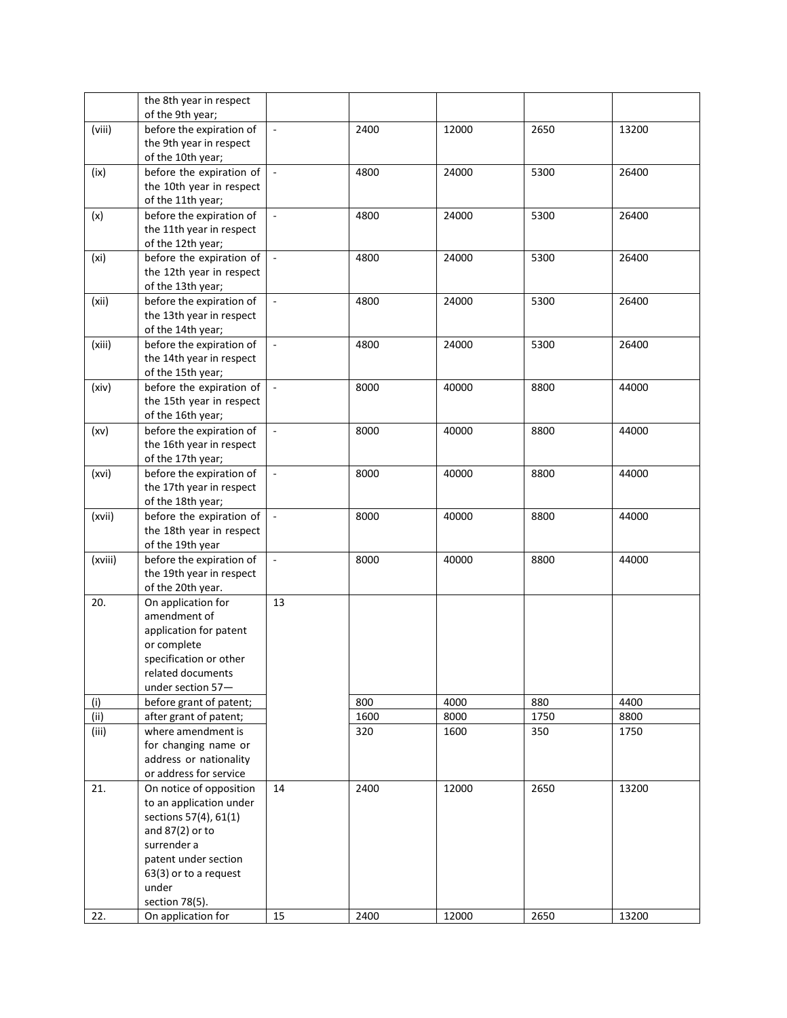|         | the 8th year in respect                              |                          |      |       |      |       |
|---------|------------------------------------------------------|--------------------------|------|-------|------|-------|
|         | of the 9th year;                                     |                          |      |       |      |       |
| (viii)  | before the expiration of                             | $\overline{\phantom{a}}$ | 2400 | 12000 | 2650 | 13200 |
|         | the 9th year in respect                              |                          |      |       |      |       |
|         | of the 10th year;                                    | $\blacksquare$           |      |       |      | 26400 |
| (ix)    | before the expiration of<br>the 10th year in respect |                          | 4800 | 24000 | 5300 |       |
|         | of the 11th year;                                    |                          |      |       |      |       |
| (x)     | before the expiration of                             | $\bar{\phantom{a}}$      | 4800 | 24000 | 5300 | 26400 |
|         | the 11th year in respect                             |                          |      |       |      |       |
|         | of the 12th year;                                    |                          |      |       |      |       |
| (xi)    | before the expiration of                             | $\overline{\phantom{a}}$ | 4800 | 24000 | 5300 | 26400 |
|         | the 12th year in respect                             |                          |      |       |      |       |
|         | of the 13th year;                                    |                          |      |       |      |       |
| (xii)   | before the expiration of                             | $\overline{\phantom{a}}$ | 4800 | 24000 | 5300 | 26400 |
|         | the 13th year in respect                             |                          |      |       |      |       |
|         | of the 14th year;                                    |                          |      |       |      |       |
| (xiii)  | before the expiration of                             | $\mathbb{Z}^2$           | 4800 | 24000 | 5300 | 26400 |
|         | the 14th year in respect                             |                          |      |       |      |       |
|         | of the 15th year;                                    |                          |      |       |      |       |
| (xiv)   | before the expiration of                             | $\overline{\phantom{a}}$ | 8000 | 40000 | 8800 | 44000 |
|         | the 15th year in respect                             |                          |      |       |      |       |
|         | of the 16th year;                                    |                          |      |       |      |       |
| (xv)    | before the expiration of                             | $\overline{\phantom{a}}$ | 8000 | 40000 | 8800 | 44000 |
|         | the 16th year in respect                             |                          |      |       |      |       |
|         | of the 17th year;                                    |                          |      |       |      |       |
| (xvi)   | before the expiration of                             | $\overline{\phantom{a}}$ | 8000 | 40000 | 8800 | 44000 |
|         | the 17th year in respect                             |                          |      |       |      |       |
|         | of the 18th year;                                    |                          |      |       |      |       |
| (xvii)  | before the expiration of                             | $\overline{\phantom{a}}$ | 8000 | 40000 | 8800 | 44000 |
|         | the 18th year in respect                             |                          |      |       |      |       |
| (xviii) | of the 19th year<br>before the expiration of         | $\overline{a}$           | 8000 | 40000 | 8800 | 44000 |
|         | the 19th year in respect                             |                          |      |       |      |       |
|         | of the 20th year.                                    |                          |      |       |      |       |
| 20.     | On application for                                   | 13                       |      |       |      |       |
|         | amendment of                                         |                          |      |       |      |       |
|         | application for patent                               |                          |      |       |      |       |
|         | or complete                                          |                          |      |       |      |       |
|         | specification or other                               |                          |      |       |      |       |
|         | related documents                                    |                          |      |       |      |       |
|         | under section 57-                                    |                          |      |       |      |       |
| (i)     | before grant of patent;                              |                          | 800  | 4000  | 880  | 4400  |
| (ii)    | after grant of patent;                               |                          | 1600 | 8000  | 1750 | 8800  |
| (iii)   | where amendment is                                   |                          | 320  | 1600  | 350  | 1750  |
|         | for changing name or                                 |                          |      |       |      |       |
|         | address or nationality                               |                          |      |       |      |       |
|         | or address for service                               |                          |      |       |      |       |
| 21.     | On notice of opposition                              | 14                       | 2400 | 12000 | 2650 | 13200 |
|         | to an application under                              |                          |      |       |      |       |
|         | sections 57(4), 61(1)                                |                          |      |       |      |       |
|         | and $87(2)$ or to<br>surrender a                     |                          |      |       |      |       |
|         | patent under section                                 |                          |      |       |      |       |
|         | 63(3) or to a request                                |                          |      |       |      |       |
|         | under                                                |                          |      |       |      |       |
|         | section 78(5).                                       |                          |      |       |      |       |
| 22.     | On application for                                   | 15                       | 2400 | 12000 | 2650 | 13200 |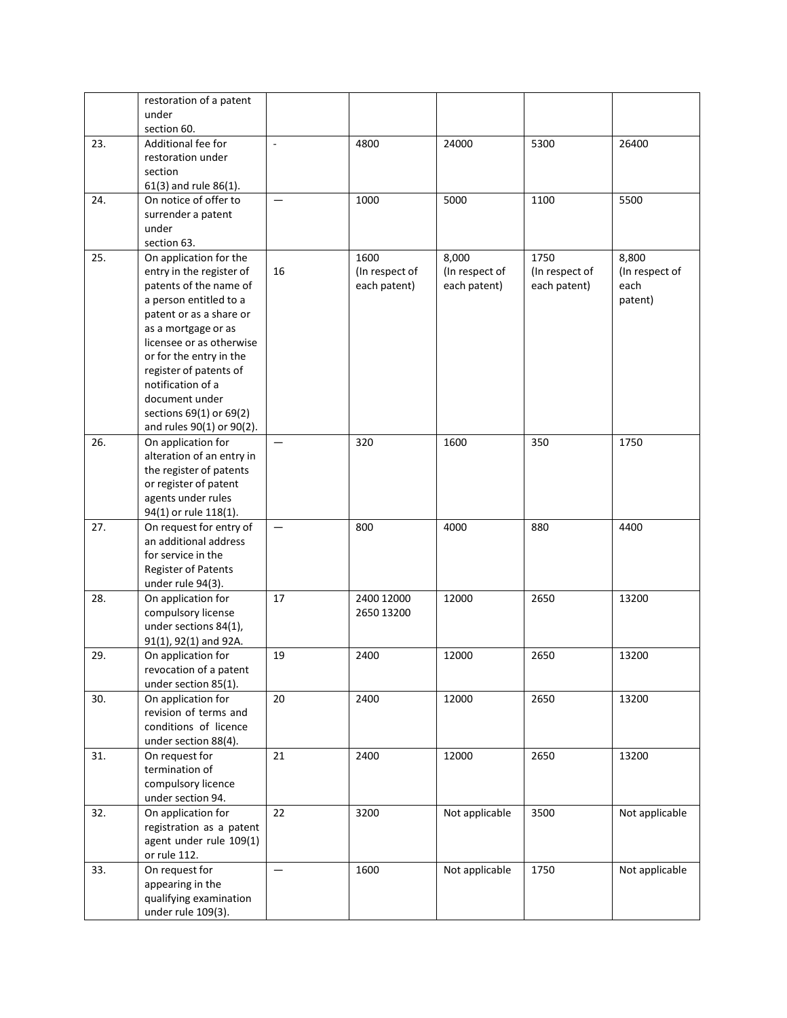|     | restoration of a patent                          |                     |                |                |                |                |
|-----|--------------------------------------------------|---------------------|----------------|----------------|----------------|----------------|
|     | under                                            |                     |                |                |                |                |
| 23. | section 60.<br>Additional fee for                | $\bar{\phantom{a}}$ | 4800           | 24000          | 5300           | 26400          |
|     | restoration under                                |                     |                |                |                |                |
|     | section                                          |                     |                |                |                |                |
|     | 61(3) and rule 86(1).                            |                     |                |                |                |                |
| 24. | On notice of offer to                            |                     | 1000           | 5000           | 1100           | 5500           |
|     | surrender a patent                               |                     |                |                |                |                |
|     | under                                            |                     |                |                |                |                |
|     | section 63.                                      |                     |                |                |                |                |
| 25. | On application for the                           |                     | 1600           | 8,000          | 1750           | 8,800          |
|     | entry in the register of                         | 16                  | (In respect of | (In respect of | (In respect of | (In respect of |
|     | patents of the name of<br>a person entitled to a |                     | each patent)   | each patent)   | each patent)   | each           |
|     | patent or as a share or                          |                     |                |                |                | patent)        |
|     | as a mortgage or as                              |                     |                |                |                |                |
|     | licensee or as otherwise                         |                     |                |                |                |                |
|     | or for the entry in the                          |                     |                |                |                |                |
|     | register of patents of                           |                     |                |                |                |                |
|     | notification of a                                |                     |                |                |                |                |
|     | document under                                   |                     |                |                |                |                |
|     | sections 69(1) or 69(2)                          |                     |                |                |                |                |
|     | and rules 90(1) or 90(2).                        |                     |                |                |                |                |
| 26. | On application for                               |                     | 320            | 1600           | 350            | 1750           |
|     | alteration of an entry in                        |                     |                |                |                |                |
|     | the register of patents<br>or register of patent |                     |                |                |                |                |
|     | agents under rules                               |                     |                |                |                |                |
|     | 94(1) or rule 118(1).                            |                     |                |                |                |                |
| 27. | On request for entry of                          | $\qquad \qquad -$   | 800            | 4000           | 880            | 4400           |
|     | an additional address                            |                     |                |                |                |                |
|     | for service in the                               |                     |                |                |                |                |
|     | <b>Register of Patents</b>                       |                     |                |                |                |                |
|     | under rule 94(3).                                |                     |                |                |                |                |
| 28. | On application for                               | 17                  | 2400 12000     | 12000          | 2650           | 13200          |
|     | compulsory license<br>under sections 84(1),      |                     | 2650 13200     |                |                |                |
|     | 91(1), 92(1) and 92A.                            |                     |                |                |                |                |
| 29. | On application for                               | 19                  | 2400           | 12000          | 2650           | 13200          |
|     | revocation of a patent                           |                     |                |                |                |                |
|     | under section 85(1).                             |                     |                |                |                |                |
| 30. | On application for                               | 20                  | 2400           | 12000          | 2650           | 13200          |
|     | revision of terms and                            |                     |                |                |                |                |
|     | conditions of licence                            |                     |                |                |                |                |
|     | under section 88(4).                             |                     |                |                |                |                |
| 31. | On request for                                   | 21                  | 2400           | 12000          | 2650           | 13200          |
|     | termination of                                   |                     |                |                |                |                |
|     | compulsory licence                               |                     |                |                |                |                |
| 32. | under section 94.<br>On application for          | 22                  | 3200           | Not applicable | 3500           | Not applicable |
|     | registration as a patent                         |                     |                |                |                |                |
|     | agent under rule 109(1)                          |                     |                |                |                |                |
|     | or rule 112.                                     |                     |                |                |                |                |
| 33. | On request for                                   |                     | 1600           | Not applicable | 1750           | Not applicable |
|     | appearing in the                                 |                     |                |                |                |                |
|     | qualifying examination                           |                     |                |                |                |                |
|     | under rule 109(3).                               |                     |                |                |                |                |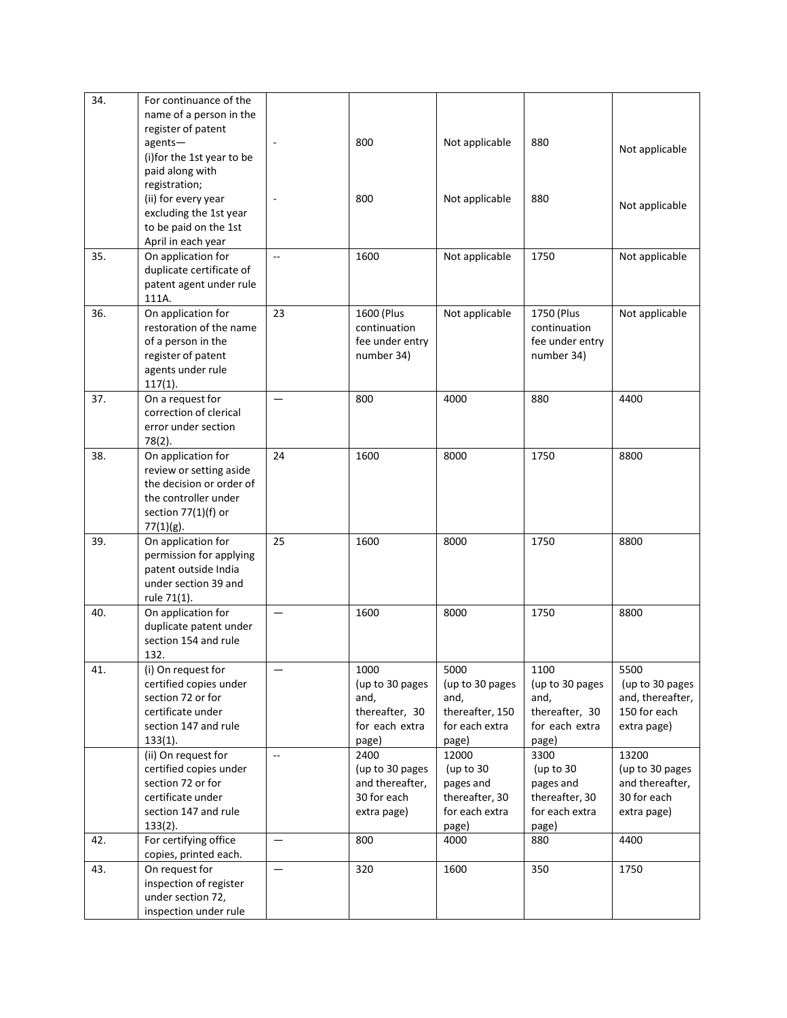| Not applicable   |
|------------------|
|                  |
|                  |
|                  |
| Not applicable   |
|                  |
|                  |
|                  |
| Not applicable   |
|                  |
|                  |
| Not applicable   |
|                  |
|                  |
|                  |
|                  |
|                  |
| 4400             |
|                  |
|                  |
|                  |
| 8800             |
|                  |
|                  |
|                  |
|                  |
|                  |
| 8800             |
|                  |
|                  |
|                  |
| 8800             |
|                  |
|                  |
|                  |
| 5500             |
| (up to 30 pages  |
| and, thereafter, |
| 150 for each     |
| extra page)      |
|                  |
| 13200            |
| (up to 30 pages  |
| and thereafter,  |
| 30 for each      |
| extra page)      |
| 4400             |
|                  |
| 1750             |
|                  |
|                  |
|                  |
|                  |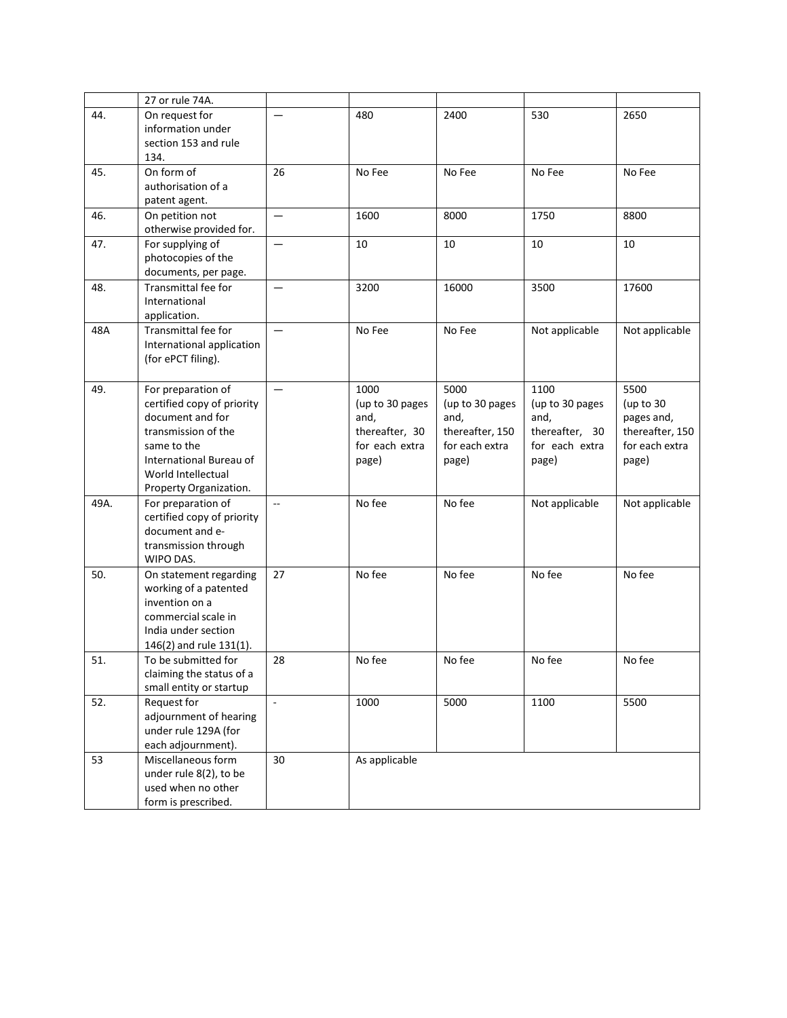|      | 27 or rule 74A.                                                                                                                                                                       |                   |                                                                              |                                                                               |                                                                              |                                                                               |
|------|---------------------------------------------------------------------------------------------------------------------------------------------------------------------------------------|-------------------|------------------------------------------------------------------------------|-------------------------------------------------------------------------------|------------------------------------------------------------------------------|-------------------------------------------------------------------------------|
| 44.  | On request for<br>information under<br>section 153 and rule<br>134.                                                                                                                   |                   | 480                                                                          | 2400                                                                          | 530                                                                          | 2650                                                                          |
| 45.  | On form of<br>authorisation of a<br>patent agent.                                                                                                                                     | 26                | No Fee                                                                       | No Fee                                                                        | No Fee                                                                       | No Fee                                                                        |
| 46.  | On petition not<br>otherwise provided for.                                                                                                                                            |                   | 1600                                                                         | 8000                                                                          | 1750                                                                         | 8800                                                                          |
| 47.  | For supplying of<br>photocopies of the<br>documents, per page.                                                                                                                        | $\qquad \qquad -$ | 10                                                                           | 10                                                                            | 10                                                                           | 10                                                                            |
| 48.  | <b>Transmittal fee for</b><br>International<br>application.                                                                                                                           | $\equiv$          | 3200                                                                         | 16000                                                                         | 3500                                                                         | 17600                                                                         |
| 48A  | Transmittal fee for<br>International application<br>(for ePCT filing).                                                                                                                |                   | No Fee                                                                       | No Fee                                                                        | Not applicable                                                               | Not applicable                                                                |
| 49.  | For preparation of<br>certified copy of priority<br>document and for<br>transmission of the<br>same to the<br>International Bureau of<br>World Intellectual<br>Property Organization. |                   | 1000<br>(up to 30 pages<br>and,<br>thereafter, 30<br>for each extra<br>page) | 5000<br>(up to 30 pages<br>and,<br>thereafter, 150<br>for each extra<br>page) | 1100<br>(up to 30 pages<br>and,<br>thereafter, 30<br>for each extra<br>page) | 5500<br>(up to 30<br>pages and,<br>thereafter, 150<br>for each extra<br>page) |
| 49A. | For preparation of<br>certified copy of priority<br>document and e-<br>transmission through<br>WIPO DAS.                                                                              | Ξ.                | No fee                                                                       | No fee                                                                        | Not applicable                                                               | Not applicable                                                                |
| 50.  | On statement regarding<br>working of a patented<br>invention on a<br>commercial scale in<br>India under section<br>146(2) and rule 131(1).                                            | 27                | No fee                                                                       | No fee                                                                        | No fee                                                                       | No fee                                                                        |
| 51.  | To be submitted for<br>claiming the status of a<br>small entity or startup                                                                                                            | 28                | No fee                                                                       | No fee                                                                        | No fee                                                                       | No fee                                                                        |
| 52.  | Request for<br>adjournment of hearing<br>under rule 129A (for<br>each adjournment).                                                                                                   | $\blacksquare$    | 1000                                                                         | 5000                                                                          | 1100                                                                         | 5500                                                                          |
| 53   | Miscellaneous form<br>under rule 8(2), to be<br>used when no other<br>form is prescribed.                                                                                             | 30                | As applicable                                                                |                                                                               |                                                                              |                                                                               |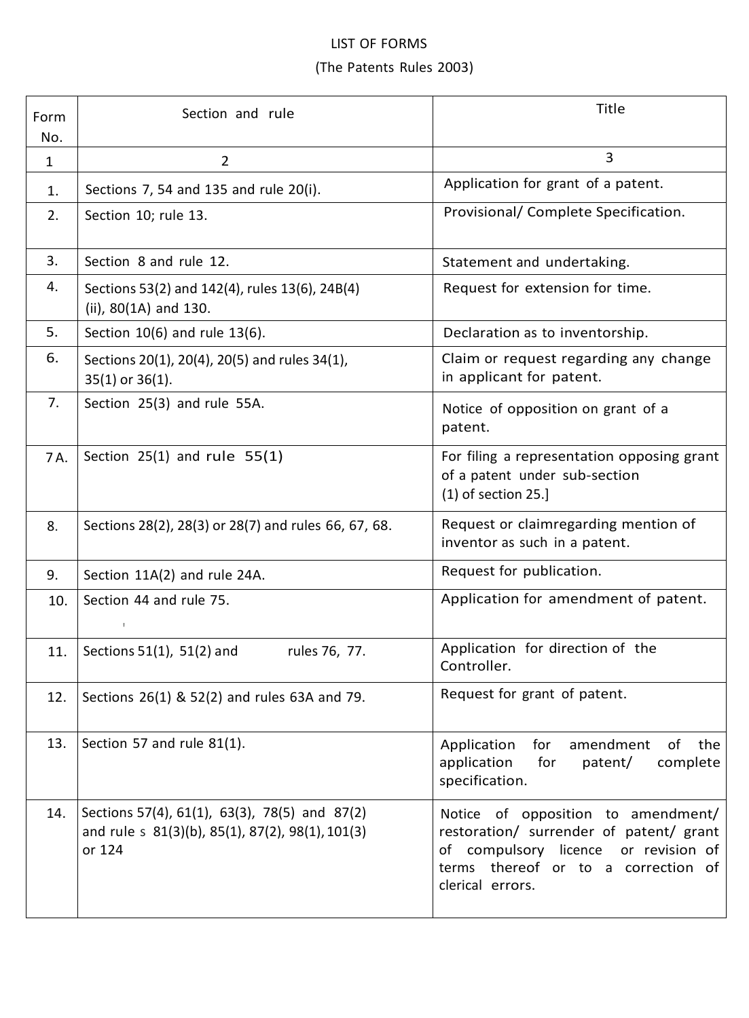## LIST OF FORMS (The Patents Rules 2003)

| Form<br>No.  | Section and rule                                                                                            | Title                                                                                                                                                                            |
|--------------|-------------------------------------------------------------------------------------------------------------|----------------------------------------------------------------------------------------------------------------------------------------------------------------------------------|
| $\mathbf{1}$ | $\overline{2}$                                                                                              | 3                                                                                                                                                                                |
| 1.           | Sections 7, 54 and 135 and rule 20(i).                                                                      | Application for grant of a patent.                                                                                                                                               |
| 2.           | Section 10; rule 13.                                                                                        | Provisional/ Complete Specification.                                                                                                                                             |
| 3.           | Section 8 and rule 12.                                                                                      | Statement and undertaking.                                                                                                                                                       |
| 4.           | Sections 53(2) and 142(4), rules 13(6), 24B(4)<br>(ii), 80(1A) and 130.                                     | Request for extension for time.                                                                                                                                                  |
| 5.           | Section 10(6) and rule 13(6).                                                                               | Declaration as to inventorship.                                                                                                                                                  |
| 6.           | Sections 20(1), 20(4), 20(5) and rules 34(1),<br>$35(1)$ or $36(1)$ .                                       | Claim or request regarding any change<br>in applicant for patent.                                                                                                                |
| 7.           | Section 25(3) and rule 55A.                                                                                 | Notice of opposition on grant of a<br>patent.                                                                                                                                    |
| 7A.          | Section $25(1)$ and rule $55(1)$                                                                            | For filing a representation opposing grant<br>of a patent under sub-section<br>$(1)$ of section 25.]                                                                             |
| 8.           | Sections 28(2), 28(3) or 28(7) and rules 66, 67, 68.                                                        | Request or claimregarding mention of<br>inventor as such in a patent.                                                                                                            |
| 9.           | Section 11A(2) and rule 24A.                                                                                | Request for publication.                                                                                                                                                         |
| 10.          | Section 44 and rule 75.                                                                                     | Application for amendment of patent.                                                                                                                                             |
| 11.          | Sections $51(1)$ , $51(2)$ and<br>rules 76, 77.                                                             | Application for direction of the<br>Controller.                                                                                                                                  |
| 12.          | Sections 26(1) & 52(2) and rules 63A and 79.                                                                | Request for grant of patent.                                                                                                                                                     |
| 13.          | Section 57 and rule 81(1).                                                                                  | Application<br>for<br>amendment<br>of the<br>application<br>for<br>patent/<br>complete<br>specification.                                                                         |
| 14.          | Sections 57(4), 61(1), 63(3), 78(5) and 87(2)<br>and rule s 81(3)(b), 85(1), 87(2), 98(1), 101(3)<br>or 124 | Notice of opposition to amendment/<br>restoration/ surrender of patent/ grant<br>of compulsory licence or revision of<br>terms thereof or to a correction of<br>clerical errors. |